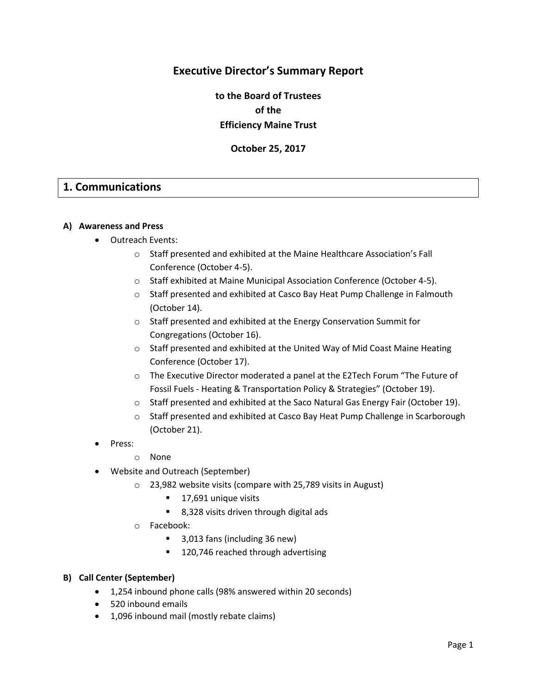# **Executive Director's Summary Report**

**to the Board of Trustees of the Efficiency Maine Trust**

**October 25, 2017**

## **1. Communications**

#### **A) Awareness and Press**

- Outreach Events:
	- o Staff presented and exhibited at the Maine Healthcare Association's Fall Conference (October 4-5).
	- o Staff exhibited at Maine Municipal Association Conference (October 4-5).
	- o Staff presented and exhibited at Casco Bay Heat Pump Challenge in Falmouth (October 14).
	- o Staff presented and exhibited at the Energy Conservation Summit for Congregations (October 16).
	- $\circ$  Staff presented and exhibited at the United Way of Mid Coast Maine Heating Conference (October 17).
	- o The Executive Director moderated a panel at the E2Tech Forum "The Future of Fossil Fuels - Heating & Transportation Policy & Strategies" (October 19).
	- o Staff presented and exhibited at the Saco Natural Gas Energy Fair (October 19).
	- o Staff presented and exhibited at Casco Bay Heat Pump Challenge in Scarborough (October 21).
- Press:
	- o None
- Website and Outreach (September)
	- o 23,982 website visits (compare with 25,789 visits in August)
		- 17,691 unique visits
		- 8,328 visits driven through digital ads
	- o Facebook:
		- 3,013 fans (including 36 new)
		- 120,746 reached through advertising

#### **B) Call Center (September)**

- 1,254 inbound phone calls (98% answered within 20 seconds)
- 520 inbound emails
- 1,096 inbound mail (mostly rebate claims)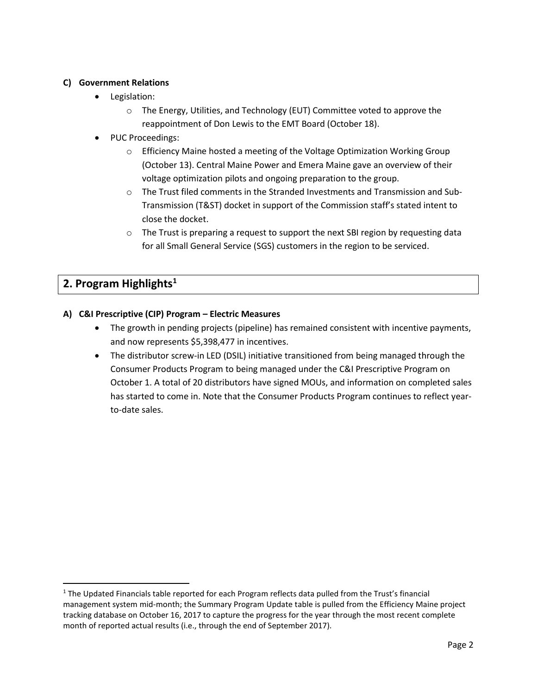### **C) Government Relations**

- Legislation:
	- o The Energy, Utilities, and Technology (EUT) Committee voted to approve the reappointment of Don Lewis to the EMT Board (October 18).
- PUC Proceedings:
	- o Efficiency Maine hosted a meeting of the Voltage Optimization Working Group (October 13). Central Maine Power and Emera Maine gave an overview of their voltage optimization pilots and ongoing preparation to the group.
	- o The Trust filed comments in the Stranded Investments and Transmission and Sub-Transmission (T&ST) docket in support of the Commission staff's stated intent to close the docket.
	- $\circ$  The Trust is preparing a request to support the next SBI region by requesting data for all Small General Service (SGS) customers in the region to be serviced.

# **2. Program Highlights<sup>1</sup>**

l

## **A) C&I Prescriptive (CIP) Program – Electric Measures**

- The growth in pending projects (pipeline) has remained consistent with incentive payments, and now represents \$5,398,477 in incentives.
- The distributor screw-in LED (DSIL) initiative transitioned from being managed through the Consumer Products Program to being managed under the C&I Prescriptive Program on October 1. A total of 20 distributors have signed MOUs, and information on completed sales has started to come in. Note that the Consumer Products Program continues to reflect yearto-date sales.

<sup>&</sup>lt;sup>1</sup> The Updated Financials table reported for each Program reflects data pulled from the Trust's financial management system mid-month; the Summary Program Update table is pulled from the Efficiency Maine project tracking database on October 16, 2017 to capture the progress for the year through the most recent complete month of reported actual results (i.e., through the end of September 2017).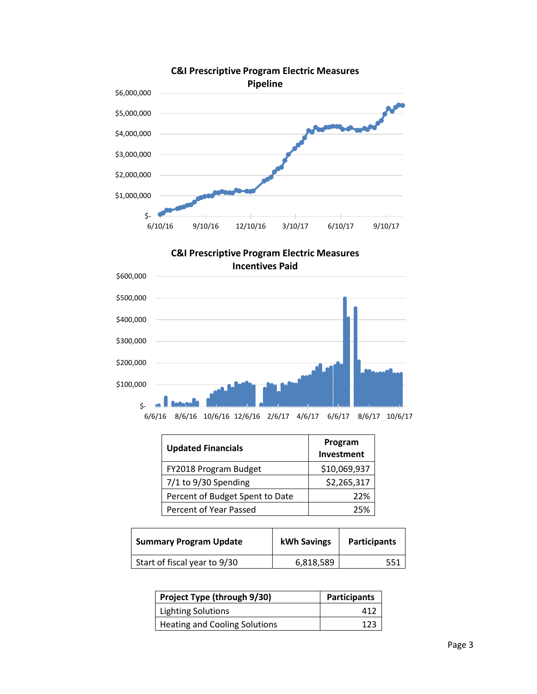

**C&I Prescriptive Program Electric Measures Incentives Paid**



| <b>Updated Financials</b>       | Program<br>Investment |
|---------------------------------|-----------------------|
| FY2018 Program Budget           | \$10,069,937          |
| $7/1$ to $9/30$ Spending        | \$2,265,317           |
| Percent of Budget Spent to Date | 22%                   |
| Percent of Year Passed          | 25%                   |

| <b>Summary Program Update</b> | <b>kWh Savings</b> | <b>Participants</b> |
|-------------------------------|--------------------|---------------------|
| Start of fiscal year to 9/30  | 6,818,589          |                     |

| Project Type (through 9/30)          | <b>Participants</b> |
|--------------------------------------|---------------------|
| <b>Lighting Solutions</b>            | 412                 |
| <b>Heating and Cooling Solutions</b> | 123                 |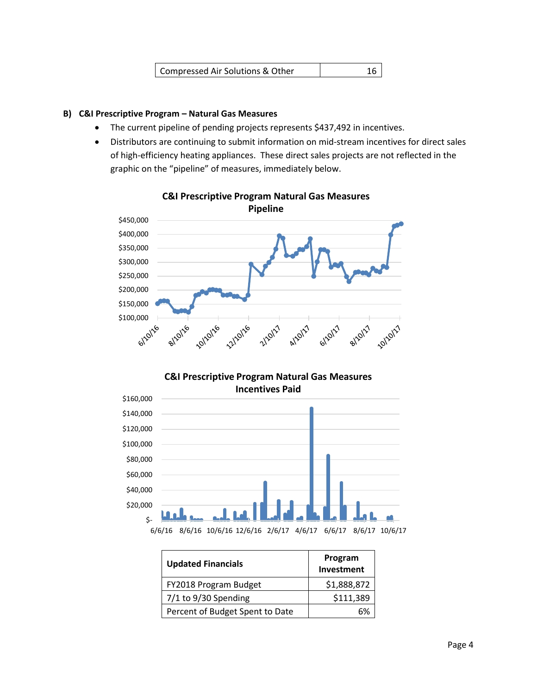| Compressed Air Solutions & Other |  |
|----------------------------------|--|
|                                  |  |

#### **B) C&I Prescriptive Program – Natural Gas Measures**

- The current pipeline of pending projects represents \$437,492 in incentives.
- Distributors are continuing to submit information on mid-stream incentives for direct sales of high-efficiency heating appliances. These direct sales projects are not reflected in the graphic on the "pipeline" of measures, immediately below.



**C&I Prescriptive Program Natural Gas Measures** 

## **C&I Prescriptive Program Natural Gas Measures Incentives Paid**



| <b>Updated Financials</b>       | Program<br>Investment |
|---------------------------------|-----------------------|
| FY2018 Program Budget           | \$1,888,872           |
| $7/1$ to $9/30$ Spending        | \$111,389             |
| Percent of Budget Spent to Date |                       |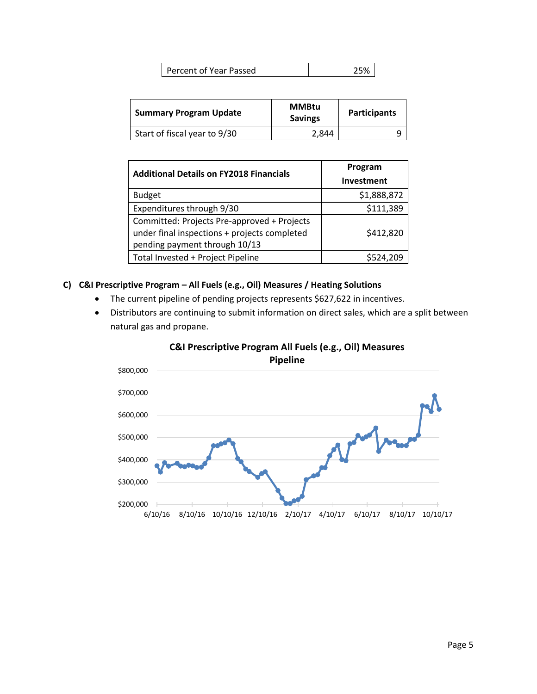| Percent of Year Passed | 25% |  |
|------------------------|-----|--|
|                        |     |  |

| <b>Summary Program Update</b> | <b>MMBtu</b><br><b>Savings</b> | <b>Participants</b> |
|-------------------------------|--------------------------------|---------------------|
| Start of fiscal year to 9/30  | 2.844                          |                     |

| <b>Additional Details on FY2018 Financials</b> | Program           |
|------------------------------------------------|-------------------|
|                                                | <b>Investment</b> |
| <b>Budget</b>                                  | \$1,888,872       |
| Expenditures through 9/30                      | \$111,389         |
| Committed: Projects Pre-approved + Projects    |                   |
| under final inspections + projects completed   | \$412,820         |
| pending payment through 10/13                  |                   |
| Total Invested + Project Pipeline              | \$524,209         |

#### **C) C&I Prescriptive Program – All Fuels (e.g., Oil) Measures / Heating Solutions**

- The current pipeline of pending projects represents \$627,622 in incentives.
- Distributors are continuing to submit information on direct sales, which are a split between natural gas and propane.



## **C&I Prescriptive Program All Fuels (e.g., Oil) Measures**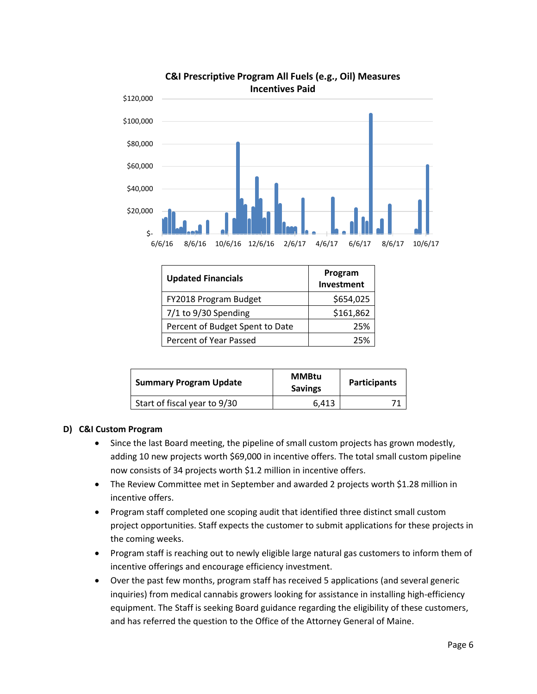

# **C&I Prescriptive Program All Fuels (e.g., Oil) Measures**

| <b>Updated Financials</b>       | Program<br>Investment |
|---------------------------------|-----------------------|
| FY2018 Program Budget           | \$654,025             |
| 7/1 to 9/30 Spending            | \$161,862             |
| Percent of Budget Spent to Date | 25%                   |
| Percent of Year Passed          | 25%                   |

| <b>Summary Program Update</b> | <b>MMBtu</b><br><b>Savings</b> | <b>Participants</b> |
|-------------------------------|--------------------------------|---------------------|
| Start of fiscal year to 9/30  | 6.413                          |                     |

## **D) C&I Custom Program**

- Since the last Board meeting, the pipeline of small custom projects has grown modestly, adding 10 new projects worth \$69,000 in incentive offers. The total small custom pipeline now consists of 34 projects worth \$1.2 million in incentive offers.
- The Review Committee met in September and awarded 2 projects worth \$1.28 million in incentive offers.
- Program staff completed one scoping audit that identified three distinct small custom project opportunities. Staff expects the customer to submit applications for these projects in the coming weeks.
- Program staff is reaching out to newly eligible large natural gas customers to inform them of incentive offerings and encourage efficiency investment.
- Over the past few months, program staff has received 5 applications (and several generic inquiries) from medical cannabis growers looking for assistance in installing high-efficiency equipment. The Staff is seeking Board guidance regarding the eligibility of these customers, and has referred the question to the Office of the Attorney General of Maine.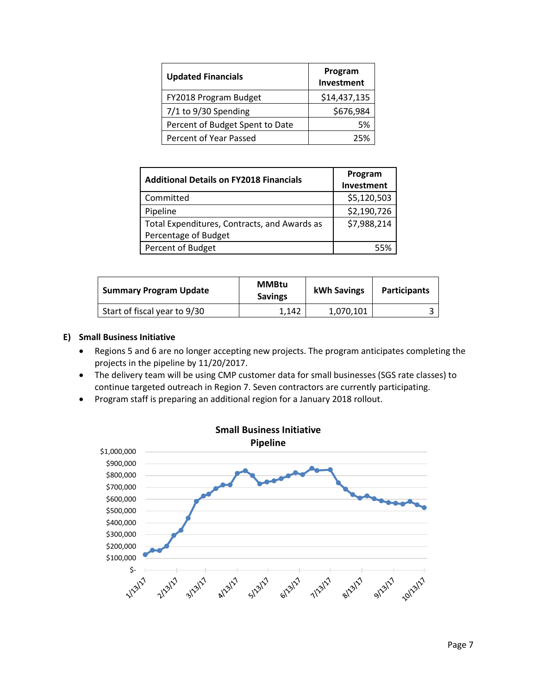| <b>Updated Financials</b>       | Program<br>Investment |
|---------------------------------|-----------------------|
| FY2018 Program Budget           | \$14,437,135          |
| $7/1$ to $9/30$ Spending        | \$676,984             |
| Percent of Budget Spent to Date | .5%                   |
| Percent of Year Passed          | 25%                   |

| <b>Additional Details on FY2018 Financials</b> | Program     |
|------------------------------------------------|-------------|
|                                                | Investment  |
| Committed                                      | \$5,120,503 |
| Pipeline                                       | \$2,190,726 |
| Total Expenditures, Contracts, and Awards as   | \$7,988,214 |
| Percentage of Budget                           |             |
| Percent of Budget                              |             |

| <b>Summary Program Update</b> | <b>MMBtu</b><br><b>Savings</b> | <b>kWh Savings</b> | <b>Participants</b> |
|-------------------------------|--------------------------------|--------------------|---------------------|
| Start of fiscal year to 9/30  | 1.142                          | 1,070,101          |                     |

## **E) Small Business Initiative**

- Regions 5 and 6 are no longer accepting new projects. The program anticipates completing the projects in the pipeline by 11/20/2017.
- The delivery team will be using CMP customer data for small businesses (SGS rate classes) to continue targeted outreach in Region 7. Seven contractors are currently participating.
- Program staff is preparing an additional region for a January 2018 rollout.

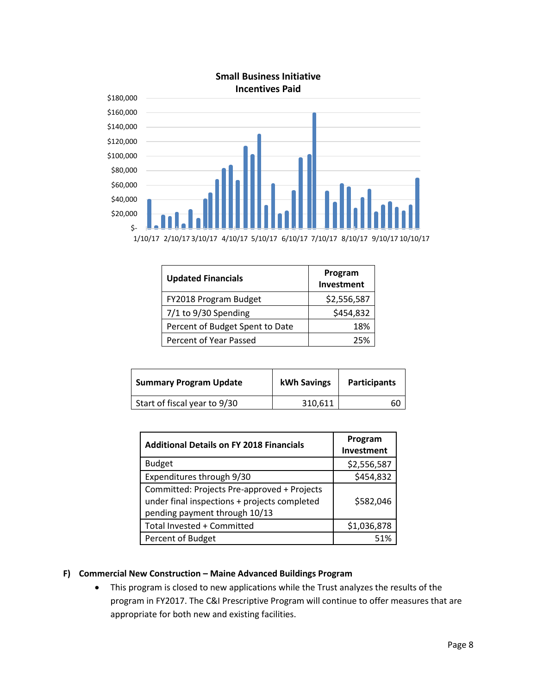

| <b>Updated Financials</b>       | Program<br>Investment |
|---------------------------------|-----------------------|
| FY2018 Program Budget           | \$2,556,587           |
| 7/1 to 9/30 Spending            | \$454,832             |
| Percent of Budget Spent to Date | 18%                   |
| Percent of Year Passed          | つち%                   |

| <b>Summary Program Update</b> | kWh Savings | <b>Participants</b> |
|-------------------------------|-------------|---------------------|
| Start of fiscal year to 9/30  | 310,611     | 60                  |

| <b>Additional Details on FY 2018 Financials</b>                                                                              | Program<br>Investment |
|------------------------------------------------------------------------------------------------------------------------------|-----------------------|
| <b>Budget</b>                                                                                                                | \$2,556,587           |
| Expenditures through 9/30                                                                                                    | \$454,832             |
| Committed: Projects Pre-approved + Projects<br>under final inspections + projects completed<br>pending payment through 10/13 | \$582,046             |
| Total Invested + Committed                                                                                                   | \$1,036,878           |
| Percent of Budget                                                                                                            | 51%                   |

#### **F) Commercial New Construction – Maine Advanced Buildings Program**

• This program is closed to new applications while the Trust analyzes the results of the program in FY2017. The C&I Prescriptive Program will continue to offer measures that are appropriate for both new and existing facilities.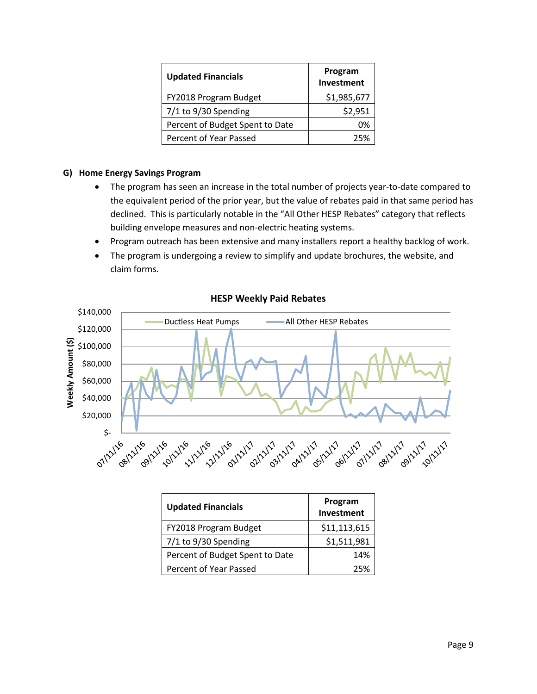| <b>Updated Financials</b>       | Program<br>Investment |
|---------------------------------|-----------------------|
| FY2018 Program Budget           | \$1,985,677           |
| $7/1$ to $9/30$ Spending        | \$2,951               |
| Percent of Budget Spent to Date | በ%                    |
| Percent of Year Passed          | つら%                   |

#### **G) Home Energy Savings Program**

- The program has seen an increase in the total number of projects year-to-date compared to the equivalent period of the prior year, but the value of rebates paid in that same period has declined. This is particularly notable in the "All Other HESP Rebates" category that reflects building envelope measures and non-electric heating systems.
- Program outreach has been extensive and many installers report a healthy backlog of work.
- The program is undergoing a review to simplify and update brochures, the website, and claim forms.



#### **HESP Weekly Paid Rebates**

| <b>Updated Financials</b>       | Program<br>Investment |
|---------------------------------|-----------------------|
| FY2018 Program Budget           | \$11,113,615          |
| $7/1$ to $9/30$ Spending        | \$1,511,981           |
| Percent of Budget Spent to Date | 14%                   |
| Percent of Year Passed          | 25%                   |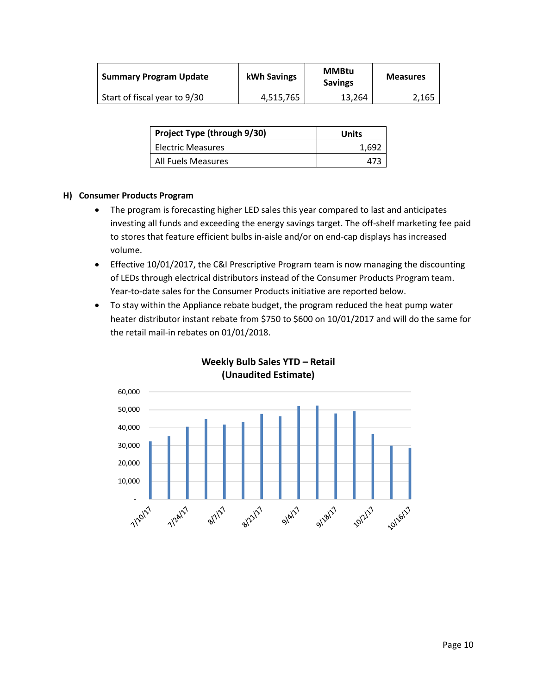| <b>Summary Program Update</b> | kWh Savings | <b>MMBtu</b><br><b>Savings</b> | <b>Measures</b> |
|-------------------------------|-------------|--------------------------------|-----------------|
| Start of fiscal year to 9/30  | 4.515.765   | 13.264                         | 2.165           |

| Project Type (through 9/30) | Units |
|-----------------------------|-------|
| Electric Measures           | 1.69. |
| All Fuels Measures          |       |

#### **H) Consumer Products Program**

- The program is forecasting higher LED sales this year compared to last and anticipates investing all funds and exceeding the energy savings target. The off-shelf marketing fee paid to stores that feature efficient bulbs in-aisle and/or on end-cap displays has increased volume.
- Effective 10/01/2017, the C&I Prescriptive Program team is now managing the discounting of LEDs through electrical distributors instead of the Consumer Products Program team. Year-to-date sales for the Consumer Products initiative are reported below.
- To stay within the Appliance rebate budget, the program reduced the heat pump water heater distributor instant rebate from \$750 to \$600 on 10/01/2017 and will do the same for the retail mail-in rebates on 01/01/2018.



## **Weekly Bulb Sales YTD – Retail (Unaudited Estimate)**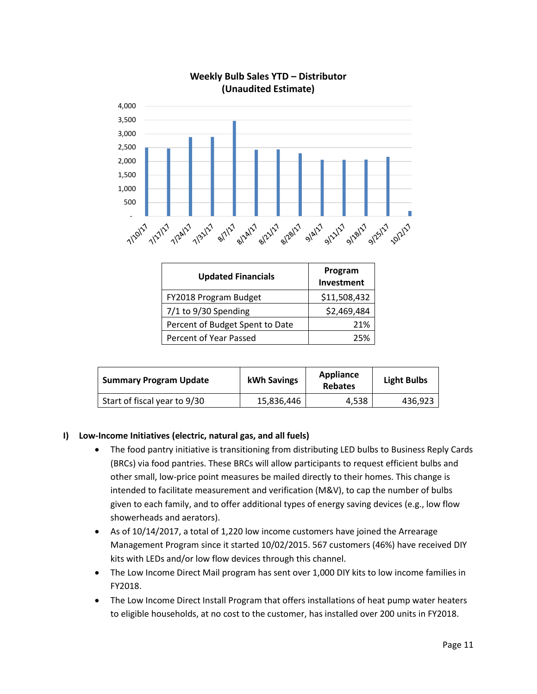

**Weekly Bulb Sales YTD – Distributor**

# **Updated Financials** Program **Investment** FY2018 Program Budget | \$11,508,432 7/1 to 9/30 Spending 1.52,469,484 Percent of Budget Spent to Date | 21% Percent of Year Passed Percent of Year Passed

| <b>Summary Program Update</b> | kWh Savings | Appliance<br><b>Rebates</b> | <b>Light Bulbs</b> |
|-------------------------------|-------------|-----------------------------|--------------------|
| Start of fiscal year to 9/30  | 15,836,446  | 4.538                       | 436,923            |

## **I) Low-Income Initiatives (electric, natural gas, and all fuels)**

- The food pantry initiative is transitioning from distributing LED bulbs to Business Reply Cards (BRCs) via food pantries. These BRCs will allow participants to request efficient bulbs and other small, low-price point measures be mailed directly to their homes. This change is intended to facilitate measurement and verification (M&V), to cap the number of bulbs given to each family, and to offer additional types of energy saving devices (e.g., low flow showerheads and aerators).
- As of 10/14/2017, a total of 1,220 low income customers have joined the Arrearage Management Program since it started 10/02/2015. 567 customers (46%) have received DIY kits with LEDs and/or low flow devices through this channel.
- The Low Income Direct Mail program has sent over 1,000 DIY kits to low income families in FY2018.
- The Low Income Direct Install Program that offers installations of heat pump water heaters to eligible households, at no cost to the customer, has installed over 200 units in FY2018.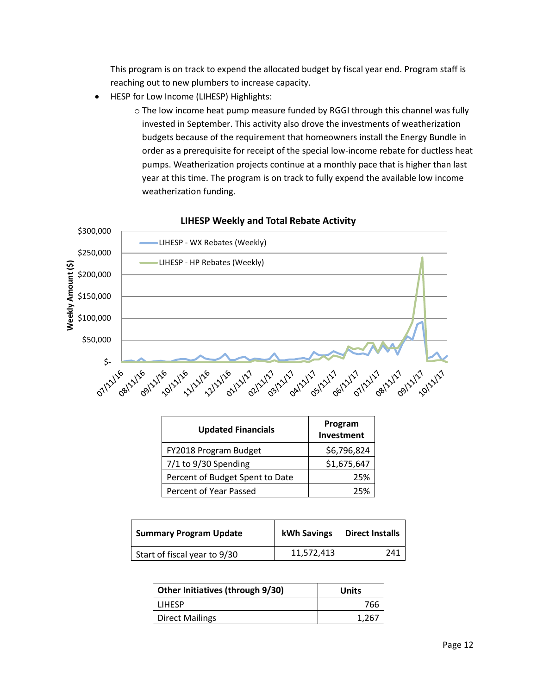This program is on track to expend the allocated budget by fiscal year end. Program staff is reaching out to new plumbers to increase capacity.

- HESP for Low Income (LIHESP) Highlights:
	- o The low income heat pump measure funded by RGGI through this channel was fully invested in September. This activity also drove the investments of weatherization budgets because of the requirement that homeowners install the Energy Bundle in order as a prerequisite for receipt of the special low-income rebate for ductless heat pumps. Weatherization projects continue at a monthly pace that is higher than last year at this time. The program is on track to fully expend the available low income weatherization funding.



#### **LIHESP Weekly and Total Rebate Activity**

| <b>Updated Financials</b>       | Program<br>Investment |
|---------------------------------|-----------------------|
| FY2018 Program Budget           | \$6,796,824           |
| 7/1 to 9/30 Spending            | \$1,675,647           |
| Percent of Budget Spent to Date | 25%                   |
| Percent of Year Passed          | つち%                   |

| <b>Summary Program Update</b> | <b>kWh Savings</b> | <b>Direct Installs</b> |
|-------------------------------|--------------------|------------------------|
| Start of fiscal year to 9/30  | 11,572,413         | 241                    |

| Other Initiatives (through 9/30) | Units |
|----------------------------------|-------|
| LIHESP                           | 766   |
| <b>Direct Mailings</b>           | 1,267 |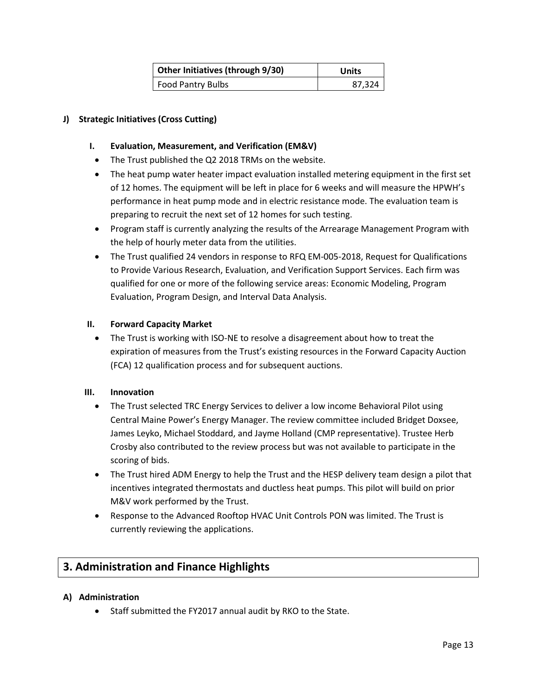| Other Initiatives (through 9/30) | Units  |
|----------------------------------|--------|
| <b>Food Pantry Bulbs</b>         | 87,324 |

### **J) Strategic Initiatives (Cross Cutting)**

#### **I. Evaluation, Measurement, and Verification (EM&V)**

- The Trust published the Q2 2018 TRMs on the website.
- The heat pump water heater impact evaluation installed metering equipment in the first set of 12 homes. The equipment will be left in place for 6 weeks and will measure the HPWH's performance in heat pump mode and in electric resistance mode. The evaluation team is preparing to recruit the next set of 12 homes for such testing.
- Program staff is currently analyzing the results of the Arrearage Management Program with the help of hourly meter data from the utilities.
- The Trust qualified 24 vendors in response to RFQ EM-005-2018, Request for Qualifications to Provide Various Research, Evaluation, and Verification Support Services. Each firm was qualified for one or more of the following service areas: Economic Modeling, Program Evaluation, Program Design, and Interval Data Analysis.

#### **II. Forward Capacity Market**

• The Trust is working with ISO-NE to resolve a disagreement about how to treat the expiration of measures from the Trust's existing resources in the Forward Capacity Auction (FCA) 12 qualification process and for subsequent auctions.

#### **III. Innovation**

- The Trust selected TRC Energy Services to deliver a low income Behavioral Pilot using Central Maine Power's Energy Manager. The review committee included Bridget Doxsee, James Leyko, Michael Stoddard, and Jayme Holland (CMP representative). Trustee Herb Crosby also contributed to the review process but was not available to participate in the scoring of bids.
- The Trust hired ADM Energy to help the Trust and the HESP delivery team design a pilot that incentives integrated thermostats and ductless heat pumps. This pilot will build on prior M&V work performed by the Trust.
- Response to the Advanced Rooftop HVAC Unit Controls PON was limited. The Trust is currently reviewing the applications.

## **3. Administration and Finance Highlights**

#### **A) Administration**

• Staff submitted the FY2017 annual audit by RKO to the State.